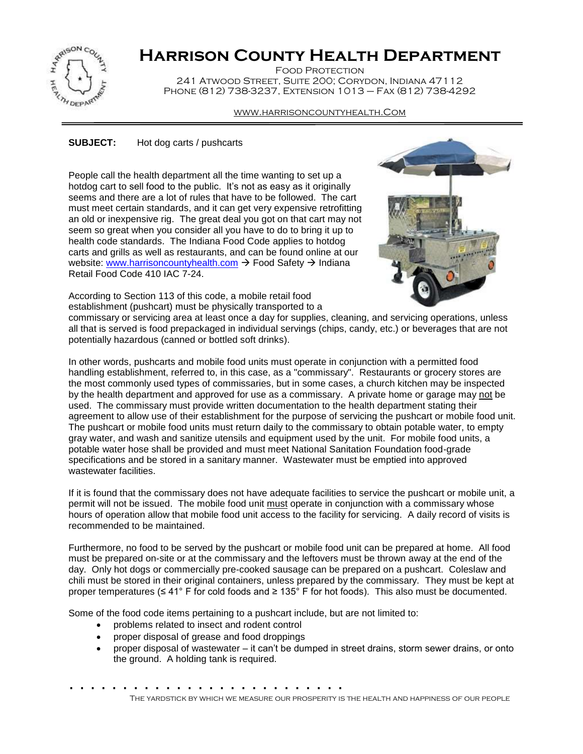

## **Harrison County Health Department**

Food Protection 241 Atwood Street, Suite 200; Corydon, Indiana 47112 Phone (812) 738-3237, Extension 1013 – Fax (812) 738-4292

## www.harrisoncountyhealth.Com

## **SUBJECT:** Hot dog carts / pushcarts

People call the health department all the time wanting to set up a hotdog cart to sell food to the public. It's not as easy as it originally seems and there are a lot of rules that have to be followed. The cart must meet certain standards, and it can get very expensive retrofitting an old or inexpensive rig. The great deal you got on that cart may not seem so great when you consider all you have to do to bring it up to health code standards. The Indiana Food Code applies to hotdog carts and grills as well as restaurants, and can be found online at our website: [www.harrisoncountyhealth.com](http://www.harrisoncountyhealth.com/)  $\rightarrow$  Food Safety  $\rightarrow$  Indiana Retail Food Code 410 IAC 7-24.



According to Section 113 of this code, a mobile retail food establishment (pushcart) must be physically transported to a

commissary or servicing area at least once a day for supplies, cleaning, and servicing operations, unless all that is served is food prepackaged in individual servings (chips, candy, etc.) or beverages that are not potentially hazardous (canned or bottled soft drinks).

In other words, pushcarts and mobile food units must operate in conjunction with a permitted food handling establishment, referred to, in this case, as a "commissary". Restaurants or grocery stores are the most commonly used types of commissaries, but in some cases, a church kitchen may be inspected by the health department and approved for use as a commissary. A private home or garage may not be used. The commissary must provide written documentation to the health department stating their agreement to allow use of their establishment for the purpose of servicing the pushcart or mobile food unit. The pushcart or mobile food units must return daily to the commissary to obtain potable water, to empty gray water, and wash and sanitize utensils and equipment used by the unit. For mobile food units, a potable water hose shall be provided and must meet National Sanitation Foundation food-grade specifications and be stored in a sanitary manner. Wastewater must be emptied into approved wastewater facilities.

If it is found that the commissary does not have adequate facilities to service the pushcart or mobile unit, a permit will not be issued. The mobile food unit must operate in conjunction with a commissary whose hours of operation allow that mobile food unit access to the facility for servicing. A daily record of visits is recommended to be maintained.

Furthermore, no food to be served by the pushcart or mobile food unit can be prepared at home. All food must be prepared on-site or at the commissary and the leftovers must be thrown away at the end of the day. Only hot dogs or commercially pre-cooked sausage can be prepared on a pushcart. Coleslaw and chili must be stored in their original containers, unless prepared by the commissary. They must be kept at proper temperatures (≤ 41° F for cold foods and ≥ 135° F for hot foods). This also must be documented.

Some of the food code items pertaining to a pushcart include, but are not limited to:

- problems related to insect and rodent control
- proper disposal of grease and food droppings
- proper disposal of wastewater it can't be dumped in street drains, storm sewer drains, or onto the ground. A holding tank is required.

. . . . . . . . . . . . . . . . . . . . . . . . . . . .

The yardstick by which we measure our prosperity is the health and happiness of our people